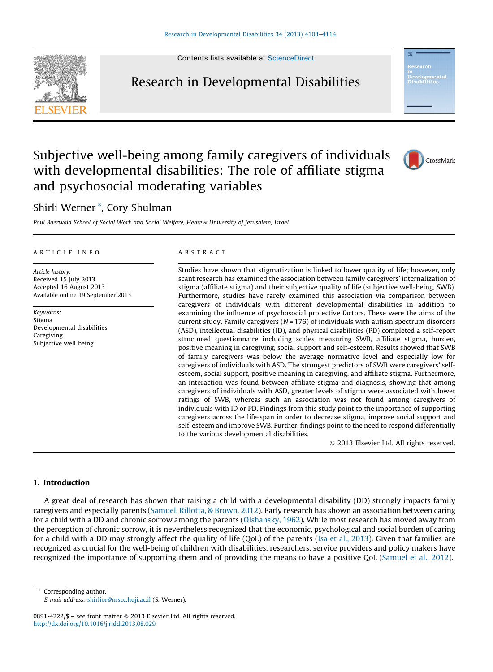Contents lists available at [ScienceDirect](http://www.sciencedirect.com/science/journal/08914222)



Research in Developmental Disabilities



## Subjective well-being among family caregivers of individuals with developmental disabilities: The role of affiliate stigma and psychosocial moderating variables

### Shirli Werner \*, Cory Shulman

Paul Baerwald School of Social Work and Social Welfare, Hebrew University of Jerusalem, Israel

#### A R T I C I E I N E O

Article history: Received 15 July 2013 Accepted 16 August 2013 Available online 19 September 2013

Keywords: Stigma Developmental disabilities Caregiving Subjective well-being

#### A B S T R A C T

Studies have shown that stigmatization is linked to lower quality of life; however, only scant research has examined the association between family caregivers' internalization of stigma (affiliate stigma) and their subjective quality of life (subjective well-being, SWB). Furthermore, studies have rarely examined this association via comparison between caregivers of individuals with different developmental disabilities in addition to examining the influence of psychosocial protective factors. These were the aims of the current study. Family caregivers ( $N = 176$ ) of individuals with autism spectrum disorders (ASD), intellectual disabilities (ID), and physical disabilities (PD) completed a self-report structured questionnaire including scales measuring SWB, affiliate stigma, burden, positive meaning in caregiving, social support and self-esteem. Results showed that SWB of family caregivers was below the average normative level and especially low for caregivers of individuals with ASD. The strongest predictors of SWB were caregivers' selfesteem, social support, positive meaning in caregiving, and affiliate stigma. Furthermore, an interaction was found between affiliate stigma and diagnosis, showing that among caregivers of individuals with ASD, greater levels of stigma were associated with lower ratings of SWB, whereas such an association was not found among caregivers of individuals with ID or PD. Findings from this study point to the importance of supporting caregivers across the life-span in order to decrease stigma, improve social support and self-esteem and improve SWB. Further, findings point to the need to respond differentially to the various developmental disabilities.

- 2013 Elsevier Ltd. All rights reserved.

#### 1. Introduction

A great deal of research has shown that raising a child with a developmental disability (DD) strongly impacts family caregivers and especially parents [\(Samuel,](#page--1-0) Rillotta, & Brown, 2012). Early research has shown an association between caring for a child with a DD and chronic sorrow among the parents [\(Olshansky,](#page--1-0) 1962). While most research has moved away from the perception of chronic sorrow, it is nevertheless recognized that the economic, psychological and social burden of caring for a child with a DD may strongly affect the quality of life (QoL) of the parents (Isa et al., [2013](#page--1-0)). Given that families are recognized as crucial for the well-being of children with disabilities, researchers, service providers and policy makers have recognized the importance of supporting them and of providing the means to have a positive QoL [\(Samuel](#page--1-0) et al., 2012).

Corresponding author.

E-mail address: [shirlior@mscc.huji.ac.il](mailto:shirlior@mscc.huji.ac.il) (S. Werner).

<sup>0891-4222/\$ –</sup> see front matter © 2013 Elsevier Ltd. All rights reserved. <http://dx.doi.org/10.1016/j.ridd.2013.08.029>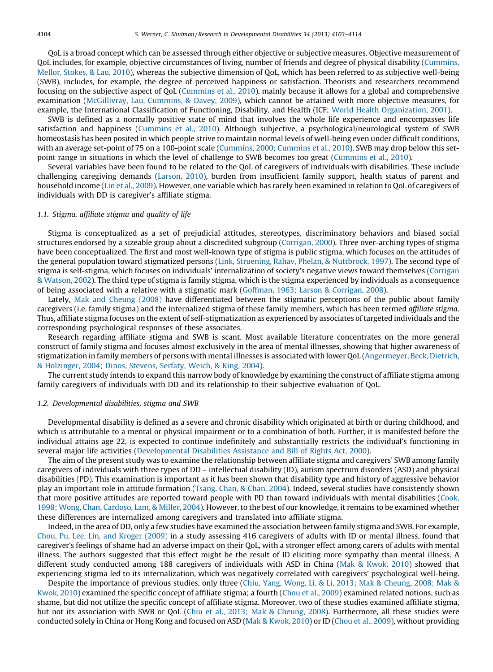QoL is a broad concept which can be assessed through either objective or subjective measures. Objective measurement of QoL includes, for example, objective circumstances of living, number of friends and degree of physical disability ([Cummins,](#page--1-0) [Mellor,](#page--1-0) Stokes, & Lau, 2010), whereas the subjective dimension of QoL, which has been referred to as subjective well-being (SWB), includes, for example, the degree of perceived happiness or satisfaction. Theorists and researchers recommend focusing on the subjective aspect of QoL ([Cummins](#page--1-0) et al., 2010), mainly because it allows for a global and comprehensive examination [\(McGillivray,](#page--1-0) Lau, Cummins, & Davey, 2009), which cannot be attained with more objective measures, for example, the International Classification of Functioning, Disability, and Health (ICF; World Health [Organization,](#page--1-0) 2001).

SWB is defined as a normally positive state of mind that involves the whole life experience and encompasses life satisfaction and happiness ([Cummins](#page--1-0) et al., 2010). Although subjective, a psychological/neurological system of SWB homeostasis has been posited in which people strive to maintain normal levels of well-being even under difficult conditions, with an average set-point of 75 on a 100-point scale [\(Cummins,](#page--1-0) 2000; Cummins et al., 2010). SWB may drop below this setpoint range in situations in which the level of challenge to SWB becomes too great ([Cummins](#page--1-0) et al., 2010).

Several variables have been found to be related to the QoL of caregivers of individuals with disabilities. These include challenging caregiving demands [\(Larson,](#page--1-0) 2010), burden from insufficient family support, health status of parent and household income (Lin et al., [2009](#page--1-0)). However, one variable which has rarely been examined in relation to QoL of caregivers of individuals with DD is caregiver's affiliate stigma.

#### 1.1. Stigma, affiliate stigma and quality of life

Stigma is conceptualized as a set of prejudicial attitudes, stereotypes, discriminatory behaviors and biased social structures endorsed by a sizeable group about a discredited subgroup [\(Corrigan,](#page--1-0) 2000). Three over-arching types of stigma have been conceptualized. The first and most well-known type of stigma is public stigma, which focuses on the attitudes of the general population toward stigmatized persons (Link, Struening, Rahav, Phelan, & [Nuttbrock,](#page--1-0) 1997). The second type of stigma is self-stigma, which focuses on individuals' internalization of society's negative views toward themselves ([Corrigan](#page--1-0) & [Watson,](#page--1-0) 2002). The third type of stigma is family stigma, which is the stigma experienced by individuals as a consequence of being associated with a relative with a stigmatic mark [\(Goffman,](#page--1-0) 1963; Larson & Corrigan, 2008).

Lately, Mak and [Cheung](#page--1-0) (2008) have differentiated between the stigmatic perceptions of the public about family caregivers (i.e. family stigma) and the internalized stigma of these family members, which has been termed affiliate stigma. Thus, affiliate stigma focuses on the extent of self-stigmatization as experienced by associates of targeted individuals and the corresponding psychological responses of these associates.

Research regarding affiliate stigma and SWB is scant. Most available literature concentrates on the more general construct of family stigma and focuses almost exclusively in the area of mental illnesses, showing that higher awareness of stigmatization in family members of persons with mental illnesses is associated with lower QoL [\(Angermeyer,](#page--1-0) Beck, Dietrich, & [Holzinger,](#page--1-0) 2004; Dinos, Stevens, Serfaty, Weich, & King, 2004).

The current study intends to expand this narrow body of knowledge by examining the construct of affiliate stigma among family caregivers of individuals with DD and its relationship to their subjective evaluation of QoL.

#### 1.2. Developmental disabilities, stigma and SWB

Developmental disability is defined as a severe and chronic disability which originated at birth or during childhood, and which is attributable to a mental or physical impairment or to a combination of both. Further, it is manifested before the individual attains age 22, is expected to continue indefinitely and substantially restricts the individual's functioning in several major life activities [\(Developmental](#page--1-0) Disabilities Assistance and Bill of Rights Act, 2000).

The aim of the present study was to examine the relationship between affiliate stigma and caregivers' SWB among family caregivers of individuals with three types of DD – intellectual disability (ID), autism spectrum disorders (ASD) and physical disabilities (PD). This examination is important as it has been shown that disability type and history of aggressive behavior play an important role in attitude formation ([Tsang,](#page--1-0) Chan, & Chan, 2004). Indeed, several studies have consistently shown that more positive attitudes are reported toward people with PD than toward individuals with mental disabilities ([Cook,](#page--1-0) 1998; Wong, Chan, [Cardoso,](#page--1-0) Lam, & Miller, 2004). However, to the best of our knowledge, it remains to be examined whether these differences are internalized among caregivers and translated into affiliate stigma.

Indeed, in the area of DD, only a few studies have examined the association between family stigma and SWB. For example, Chou, Pu, Lee, Lin, and [Kroger](#page--1-0) (2009) in a study assessing 416 caregivers of adults with ID or mental illness, found that caregiver's feelings of shame had an adverse impact on their QoL, with a stronger effect among carers of adults with mental illness. The authors suggested that this effect might be the result of ID eliciting more sympathy than mental illness. A different study conducted among 188 caregivers of individuals with ASD in China (Mak & [Kwok,](#page--1-0) 2010) showed that experiencing stigma led to its internalization, which was negatively correlated with caregivers' psychological well-being.

Despite the importance of previous studies, only three (Chiu, Yang, Wong, Li, & Li, 2013; Mak & [Cheung,](#page--1-0) 2008; Mak & [Kwok,](#page--1-0) 2010) examined the specific concept of affiliate stigma; a fourth [\(Chou](#page--1-0) et al., 2009) examined related notions, such as shame, but did not utilize the specific concept of affiliate stigma. Moreover, two of these studies examined affiliate stigma, but not its association with SWB or QoL (Chiu et al., 2013; Mak & [Cheung,](#page--1-0) 2008). Furthermore, all these studies were conducted solely in China or Hong Kong and focused on ASD (Mak & [Kwok,](#page--1-0) 2010) or ID (Chou et al., [2009\)](#page--1-0), without providing